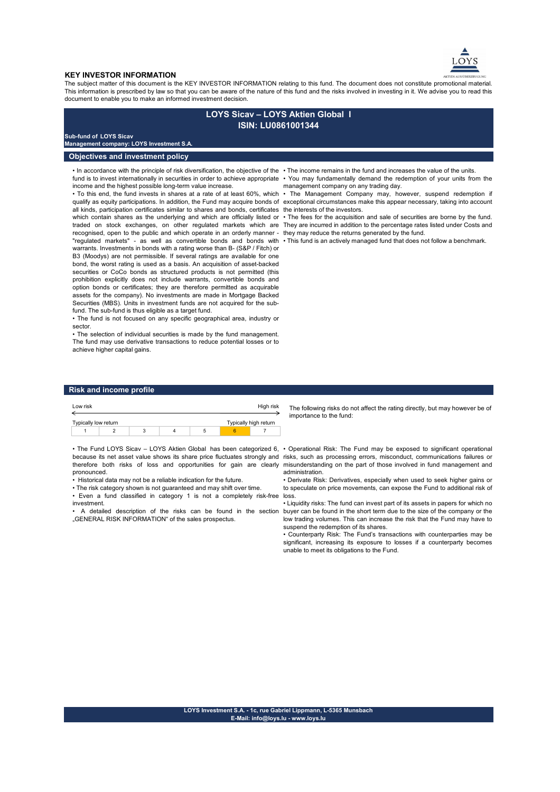

#### **KEY INVESTOR INFORMATION**

The subject matter of this document is the KEY INVESTOR INFORMATION relating to this fund. The document does not constitute promotional material. This information is prescribed by law so that you can be aware of the nature of this fund and the risks involved in investing in it. We advise you to read this document to enable you to make an informed investment decision.

# **LOYS Sicav – LOYS Aktien Global I ISIN: LU0861001344**

### **Sub-fund of LOYS Sicav**

**Management company: LOYS Investment S.A.**

# **Objectives and investment policy**

• In accordance with the principle of risk diversification, the objective of the • The income remains in the fund and increases the value of the units. income and the highest possible long-term value increase.

all kinds, participation certificates similar to shares and bonds, certificates the interests of the investors. which contain shares as the underlying and which are officially listed or recognised, open to the public and which operate in an orderly manner - they may reduce the returns generated by the fund. "regulated markets" - as well as convertible bonds and bonds with • This fund is an actively managed fund that does not follow a benchmark. warrants. Investments in bonds with a rating worse than B- (S&P / Fitch) or B3 (Moodys) are not permissible. If several ratings are available for one bond, the worst rating is used as a basis. An acquisition of asset-backed securities or CoCo bonds as structured products is not permitted (this prohibition explicitly does not include warrants, convertible bonds and option bonds or certificates; they are therefore permitted as acquirable assets for the company). No investments are made in Mortgage Backed Securities (MBS). Units in investment funds are not acquired for the subfund. The sub-fund is thus eligible as a target fund.

• The fund is not focused on any specific geographical area, industry or sector.

• The selection of individual securities is made by the fund management. The fund may use derivative transactions to reduce potential losses or to achieve higher capital gains.

- fund is to invest internationally in securities in order to achieve appropriate You may fundamentally demand the redemption of your units from the
- To this end, the fund invests in shares at a rate of at least 60%, which The Management Company may, however, suspend redemption if qualify as equity participations. In addition, the Fund may acquire bonds of  $\,$ exceptional circumstances make this appear necessary, taking into account management company on any trading day.

traded on stock exchanges, on other regulated markets which are They are incurred inadditionto the percentage rates listed under Costs and • The fees for the acquisition and sale of securities are borne by the fund.

## **Risk and income profile**

| Low risk             |  |   | High risk |                       |  |  |  |
|----------------------|--|---|-----------|-----------------------|--|--|--|
|                      |  |   |           |                       |  |  |  |
| Typically low return |  |   |           | Typically high return |  |  |  |
|                      |  | 3 |           |                       |  |  |  |
|                      |  |   |           |                       |  |  |  |

• The Fund LOYS Sicav – LOYS Aktien Global has been categorized 6, • Operational Risk: The Fund may be exposed to significant operational because its net asset value shows its share price fluctuates strongly and risks, such as processing errors, misconduct, communications failures or therefore both risks of loss and opportunities for gain are clearly pronounced.

• Historical data may not be a reliable indication for the future.

• The risk category shown is not guaranteed and may shift over time.

• Even a fund classified in category 1 is not a completely risk-free investment.

• A detailed description of the risks can be found in the section ..GENERAL RISK INFORMATION" of the sales prospectus.

The following risks do not affect the rating directly, but may however be of importance to the fund:

misunderstanding on the part of those involved in fund management and administration.

• Derivate Risk: Derivatives, especially when used to seek higher gains or to speculate on price movements, can expose the Fund to additional risk of loss.

• Liquidity risks: The fund can invest part of its assets in papers for which no buyer can be found in the short term due to the size of the company or the low trading volumes. This can increase the risk that the Fund may have to suspend the redemption of its shares.

• Counterparty Risk: The Fund's transactions with counterparties may be significant, increasing its exposure to losses if a counterparty becomes unable to meet its obligations to the Fund.